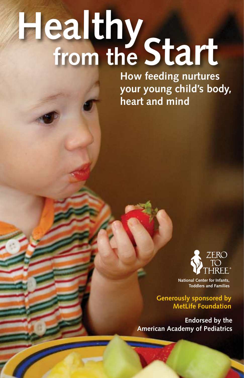# **Healthy from the Start**

**How feeding nurtures your young child's body, heart and mind** 



**National Center for Infants, Toddlers and Families** 

**Generously sponsored by MetLife Foundation**

**Endorsed by the American Academy of Pediatrics**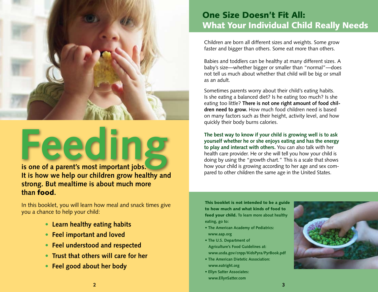

**Feeding is one of a parent's most important jobs.** <br>**is one of a parent's most important jobs. is all the same age in the United States. is a parent in the same age in the United States. It is how we help our children grow healthy and strong. But mealtime is about much more than** food**.**

In this booklet, you will learn how meal and snack times give you a chance to help your child:

- **Learn healthy eating habits**
- **Feel important and loved**
- **Feel understood and respected**
- **Trust that others will care for her**
- **Feel good about her body**

### One Size Doesn't Fit All: What Your Individual Child Really Needs

Children are born all different sizes and weights. Some grow faster and bigger than others. Some eat more than others.

Babies and toddlers can be healthy at many different sizes. A baby's size—whether bigger or smaller than "normal"—does not tell us much about whether that child will be big or small as an adult.

Sometimes parents worry about their child's eating habits. Is she eating a balanced diet? Is he eating too much? Is she eating too little? **There is not one right amount of food children need to grow.** How much food children need is based on many factors such as their height, activity level, and how quickly their body burns calories.

**The best way to know if your child is growing well is to ask yourself whether he or she enjoys eating and has the energy to play and interact with others.** You can also talk with her health care provider. He or she will tell you how your child is doing by using the "growth chart." This is a scale that shows how your child is growing according to her age and sex com-

This booklet is not intended to be a guide to how much and what kinds of food to feed your child. **To learn more about healthy eating, go to:**

- **The American Academy of Pediatrics: www.aap.org**
- **The U.S. Department of Agriculture's Food Guidelines at: www.usda.gov/cnpp/KidsPyra/PyrBook.pdf**
- **The American Dietetic Association: www.eatright.org**
- **Ellyn Satter Associates: www.EllynSatter.com**

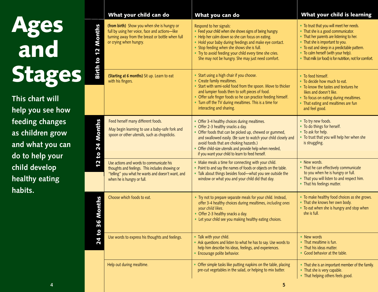| Ages   |  |
|--------|--|
| and    |  |
| Stages |  |

|                                                                                                                                                                           |                                                      | What your child can do                                                                                                                                                         | What you can do                                                                                                                                                                                                                                                                                                                                                           | What your child is learning                                                                                                                                                                                                                                                                                      |
|---------------------------------------------------------------------------------------------------------------------------------------------------------------------------|------------------------------------------------------|--------------------------------------------------------------------------------------------------------------------------------------------------------------------------------|---------------------------------------------------------------------------------------------------------------------------------------------------------------------------------------------------------------------------------------------------------------------------------------------------------------------------------------------------------------------------|------------------------------------------------------------------------------------------------------------------------------------------------------------------------------------------------------------------------------------------------------------------------------------------------------------------|
| <b>Ages<br/>and</b>                                                                                                                                                       | Months<br>$\overline{\mathbf{N}}$<br><b>Birth to</b> | (from birth) Show you when she is hungry or<br>full by using her voice, face and actions-like<br>turning away from the breast or bottle when full<br>or crying when hungry.    | Respond to her signals:<br>• Feed your child when she shows signs of being hungry.<br>• Help her calm down so she can focus on eating.<br>• Hold your baby during feedings and make eye contact.<br>• Stop feeding when she shows she is full.<br>• Try to avoid feeding your child every time she cries.<br>She may not be hungry. She may just need comfort.            | • To trust that you will meet her needs.<br>• That she is a good communicator.<br>• That her parents are listening to her.<br>• That she is important to you.<br>• To eat and sleep in a predictable pattern.<br>• To calm herself (with your help).<br>• That milk (or food) is for nutrition, not for comfort. |
| Stages<br>This chart will<br>help you see how<br>feeding changes<br>as children grow<br>and what you can<br>do to help your<br>child develop<br>healthy eating<br>habits. |                                                      | (Starting at 6 months) Sit up. Learn to eat<br>with his fingers.                                                                                                               | • Start using a high chair if you choose.<br>• Create family mealtimes.<br>• Start with semi-solid food from the spoon. Move to thicker<br>and lumpier foods then to soft pieces of food.<br>• Offer safe finger foods so he can practice feeding himself.<br>• Turn off the TV during mealtimes. This is a time for<br>interacting and sharing.                          | • To feed himself.<br>• To decide how much to eat.<br>• To know the tastes and textures he<br>likes and doesn't like.<br>• To focus on eating during mealtimes.<br>• That eating and mealtimes are fun<br>and feel good.                                                                                         |
|                                                                                                                                                                           | Months<br>24<br>$\mathbf{c}$                         | Feed herself many different foods.<br>May begin learning to use a baby-safe fork and<br>spoon or other utensils, such as chopsticks.                                           | • Offer 3-4 healthy choices during mealtimes.<br>• Offer 2-3 healthy snacks a day.<br>• Offer foods that can be picked up, chewed or gummed,<br>and swallowed easily. (Be sure to watch your child closely and<br>avoid foods that are choking hazards.)<br>• Offer child-size utensils and provide help when needed,<br>if you want your child to learn to feed herself. | • To try new foods.<br>• To do things for herself.<br>• To ask for help.<br>• To trust that you will help her when she<br>is struggling.                                                                                                                                                                         |
|                                                                                                                                                                           | $\overline{\mathbf{N}}$                              | Use actions and words to communicate his<br>thoughts and feelings. This includes showing or<br>"telling" you what he wants and doesn't want, and<br>when he is hungry or full. | • Make meals a time for connecting with your child.<br>• Point to and say the names of foods or objects on the table.<br>• Talk about things besides food-what you see outside the<br>window or what you and your child did that day.                                                                                                                                     | • New words.<br>• That he can effectively communicate<br>to you when he is hungry or full.<br>• That you will listen to and respect him.<br>• That his feelings matter.                                                                                                                                          |
|                                                                                                                                                                           | <b>6 Months</b><br>3                                 | Choose which foods to eat.                                                                                                                                                     | • Try not to prepare separate meals for your child. Instead,<br>offer 3-4 healthy choices during mealtimes, including ones<br>your child likes.<br>• Offer 2-3 healthy snacks a day.<br>• Let your child see you making healthy eating choices.                                                                                                                           | • To make healthy food choices as she grows.<br>• That she knows her own body.<br>• To eat when she is hungry and stop when<br>she is full.                                                                                                                                                                      |
|                                                                                                                                                                           | <b>o</b><br>24                                       | Use words to express his thoughts and feelings.                                                                                                                                | • Talk with your child.<br>• Ask questions and listen to what he has to say. Use words to<br>help him describe his ideas, feelings, and experiences.<br>• Encourage polite behavior.                                                                                                                                                                                      | • New words<br>• That mealtime is fun.<br>• That his ideas matter.<br>• Good behavior at the table.                                                                                                                                                                                                              |
|                                                                                                                                                                           |                                                      | Help out during mealtime.                                                                                                                                                      | • Offer simple tasks like putting napkins on the table, placing<br>pre-cut vegetables in the salad, or helping to mix batter.                                                                                                                                                                                                                                             | • That she is an important member of the family.<br>• That she is very capable.<br>• That helping others feels good.                                                                                                                                                                                             |
|                                                                                                                                                                           |                                                      |                                                                                                                                                                                | 5 <sub>5</sub>                                                                                                                                                                                                                                                                                                                                                            |                                                                                                                                                                                                                                                                                                                  |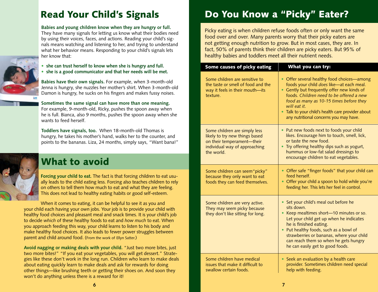## Read Your Child's Signals

**Babies and young children know when they are hungry or full.** They have many signals for letting us know what their bodies need by using their voices, faces, and actions. Reading your child's signals means watching and listening to her, and trying to understand what her behavior means. Responding to your child's signals lets her know that:

- **she can trust herself to know when she is hungry and full.**
- **she is a good communicator and that her needs will be met.**

**Babies have their own signals.** For example, when 3-month-old Jenna is hungry, she nuzzles her mother's shirt. When 3-month-old Damon is hungry, he sucks on his fingers and makes fussy noises.

**Sometimes the same signal can have more than one meaning.** For example, 9-month-old, Ricky, pushes the spoon away when he is full. Bianca, also 9 months, pushes the spoon away when she wants to feed herself.

**Toddlers have signals, too.** When 18-month-old Thomas is hungry, he takes his mother's hand, walks her to the counter, and points to the bananas. Liza, 24 months, simply says, "Want bana!"



### What to avoid

**Forcing your child to eat.** The fact is that forcing children to eat usually leads to the child eating less. Forcing also teaches children to rely on others to tell them how much to eat and what they are feeling. This does not lead to healthy eating habits or good self-esteem.

When it comes to eating, it can be helpful to see it as you and your child each having your own jobs. Your job is to provide your child with healthy food choices and pleasant meal and snack times. It is your child's job to decide *which* of these healthy foods to eat and *how much* to eat. When you approach feeding this way, your child learns to listen to his body and make healthy food choices. It also leads to fewer power struggles between parent and child around food. (From the work of Ellyn Satter.)

**Avoid nagging or making deals with your child.** "Just two more bites, just two more bites!" "If you eat your vegetables, you will get dessert." Strategies like these don't work in the long run. Children who learn to make deals about eating quickly learn to make deals and ask for rewards for doing other things—like brushing teeth or getting their shoes on. And soon they won't do anything unless there is a reward for it!

## Do You Know a "Picky" Eater?

Picky eating is when children refuse foods often or only want the same food over and over. Many parents worry that their picky eaters are not getting enough nutrition to grow. But in most cases, they are. In fact, 50% of parents think their children are picky eaters. But 95% of healthy babies and toddlers meet all their nutrient needs.

| Some causes of picky eating                                                                                                                  | What you can try:                                                                                                                                                                                                                                                                                                                          |
|----------------------------------------------------------------------------------------------------------------------------------------------|--------------------------------------------------------------------------------------------------------------------------------------------------------------------------------------------------------------------------------------------------------------------------------------------------------------------------------------------|
| Some children are sensitive to<br>the taste or smell of food and the<br>way it feels in their mouth-its<br>texture.                          | • Offer several healthy food choices—among<br>foods your child does like-at each meal.<br>• Gently but frequently offer new kinds of<br>foods. Children need to be offered a new<br>food as many as 10-15 times before they<br>will eat it.<br>• Talk to your child's health care provider about<br>any nutritional concerns you may have. |
| Some children are simply less<br>likely to try new things based<br>on their temperament-their<br>individual way of approaching<br>the world. | • Put new foods next to foods your child<br>likes. Encourage him to touch, smell, lick,<br>or taste the new food.<br>Try offering healthy dips such as yogurt,<br>hummus or low-fat salad dressings to<br>encourage children to eat vegetables.                                                                                            |
| Some children can seem "picky"<br>because they only want to eat<br>foods they can feed themselves.                                           | • Offer safe "finger foods" that your child can<br>feed herself.<br>• Offer your child a spoon to hold while you're<br>feeding her. This lets her feel in control.                                                                                                                                                                         |
| Some children are very active.<br>They may seem picky because<br>they don't like sitting for long.                                           | • Set your child's meal out before he<br>sits down.<br>Keep mealtimes short-10 minutes or so.<br>Let your child get up when he indicates<br>he is finished eating.<br>Put healthy foods, such as a bowl of<br>strawberries or bananas, where your child<br>can reach them so when he gets hungry<br>he can easily get to good foods.       |
| Some children have medical<br>issues that make it difficult to<br>swallow certain foods.                                                     | • Seek an evaluation by a health care<br>provider. Sometimes children need special<br>help with feeding.                                                                                                                                                                                                                                   |

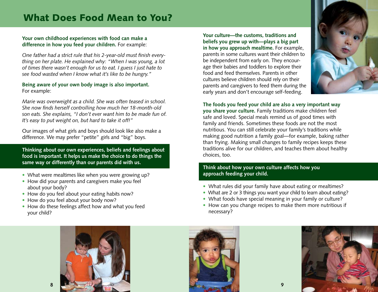## What Does Food Mean to You?

#### **Your own childhood experiences with food can make a difference in how you feed your children.** For example:

*One father had a strict rule that his 2-year-old must finish everything on her plate. He explained why: "When I was young, a lot of times there wasn't enough for us to eat. I guess I just hate to see food wasted when I know what it's like to be hungry."*

#### **Being aware of your own body image is also important.**  For example:

*Marie was overweight as a child. She was often teased in school. She now finds herself controlling how much her 18-month-old son eats. She explains, "I don't ever want him to be made fun of. It's easy to put weight on, but hard to take it off!"*

Our images of what girls and boys should look like also make a difference. We may prefer "petite" girls and "big" boys.

**Thinking about our own experiences, beliefs and feelings about food is important. It helps us make the choice to do things the same way or differently than our parents did with us.** 

- What were mealtimes like when you were growing up?
- How did your parents and caregivers make you feel about your body?
- How do you feel about your eating habits now?
- How do you feel about your body now?
- How do these feelings affect how and what you feed your child?

**Your culture—the customs, traditions and beliefs you grew up with—plays a big part in how you approach mealtime.** For example, parents in some cultures want their children to be independent from early on. They encourage their babies and toddlers to explore their food and feed themselves. Parents in other cultures believe children should rely on their parents and caregivers to feed them during the early years and don't encourage self-feeding.



**The foods you feed your child are also a very important way you share your culture.** Family traditions make children feel safe and loved. Special meals remind us of good times with family and friends. Sometimes these foods are not the most nutritious. You can still celebrate your family's traditions while making good nutrition a family goal—for example, baking rather than frying. Making small changes to family recipes keeps these traditions alive for our children, and teaches them about healthy choices, too.

#### **Think about how your own culture affects how you approach feeding your child.**

- What rules did your family have about eating or mealtimes?
- What are 2 or 3 things you want your child to learn about eating?
- What foods have special meaning in your family or culture?
- How can you change recipes to make them more nutritious if necessary?





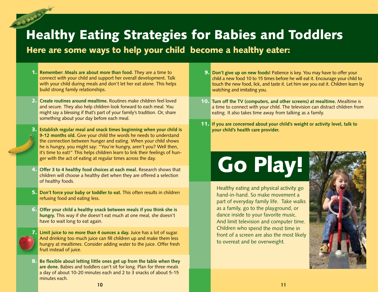## Healthy Eating Strategies for Babies and Toddlers

Here are some ways to help your child become a healthy eater:

- 1. **Remember: Meals are about more than food.** They are a time to connect with your child and support her overall development. Talk with your child during meals and don't let her eat alone. This helps build strong family relationships.
- 2. **Create routines around mealtime.** Routines make children feel loved and secure. They also help children look forward to each meal. You might say a blessing if that's part of your family's tradition. Or, share something about your day before each meal.
- 3. **Establish regular meal and snack times beginning when your child is 9-12 months old.** Give your child the words he needs to understand the connection between hunger and eating. When your child shows he is hungry, you might say: "You're hungry, aren't you? Well then, it's time to eat!" This helps children learn to link their feelings of hunger with the act of eating at regular times across the day.
- 4. **Offer 3 to 4 healthy food choices at each meal.** Research shows that children will choose a healthy diet when they are offered a selection of healthy foods.
- 5. **Don't force your baby or toddler to eat.** This often results in children refusing food and eating less.
- 6. **Offer your child a healthy snack between meals if you think she is hungry.** This way if she doesn't eat much at one meal, she doesn't have to wait long to eat again.
- 7. **Limit juice to no more than 4 ounces a day.** Juice has a lot of sugar. And drinking too much juice can fill children up and make them less hungry at mealtimes. Consider adding water to the juice. Offer fresh fruit instead of juice.
- 8. **Be flexible about letting little ones get up from the table when they are done.** Babies and toddlers can't sit for long. Plan for three meals a day of about 10-20 minutes each and 2 to 3 snacks of about 5-15 minutes each.
- 9. **Don't give up on new foods!** Patience is key. You may have to offer your child a new food 10 to 15 times before he will eat it. Encourage your child to touch the new food, lick, and taste it. Let him see you eat it. Children learn by watching and imitating you.
- 10. **Turn off the TV (computers, and other screens) at mealtime.** Mealtime is a time to connect with your child. The television can distract children from eating. It also takes time away from talking as a family.
- 11. **If you are concerned about your child's weight or activity level, talk to your child's health care provider.**

## Go Play!

Healthy eating and physical activity go hand-in-hand. So make movement a part of everyday family life. Take walks as a family, go to the playground, or dance inside to your favorite music. And limit television and computer time. Children who spend the most time in front of a screen are also the most likely to overeat and be overweight.